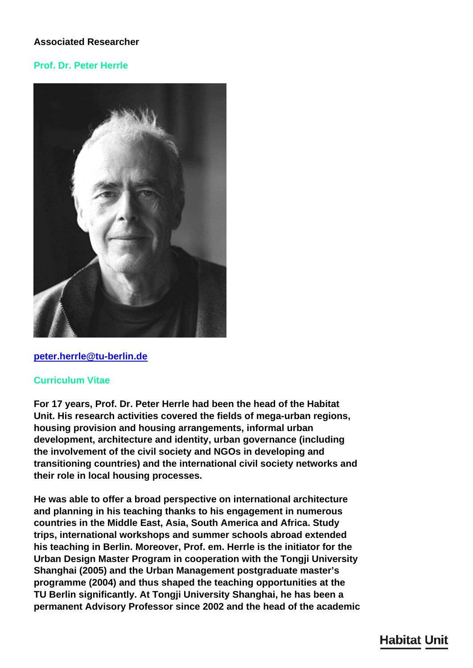# **Associated Researcher**

# **Prof. Dr. Peter Herrle**



#### **[peter.herrle@tu-berlin.de](mailto:peter.herrle@tu-berlin.de)**

#### **Curriculum Vitae**

**For 17 years, Prof. Dr. Peter Herrle had been the head of the Habitat Unit. His research activities covered the fields of mega-urban regions, housing provision and housing arrangements, informal urban development, architecture and identity, urban governance (including the involvement of the civil society and NGOs in developing and transitioning countries) and the international civil society networks and their role in local housing processes.**

**He was able to offer a broad perspective on international architecture and planning in his teaching thanks to his engagement in numerous countries in the Middle East, Asia, South America and Africa. Study trips, international workshops and summer schools abroad extended his teaching in Berlin. Moreover, Prof. em. Herrle is the initiator for the Urban Design Master Program in cooperation with the Tongji University Shanghai (2005) and the Urban Management postgraduate master's programme (2004) and thus shaped the teaching opportunities at the TU Berlin significantly. At Tongji University Shanghai, he has been a permanent Advisory Professor since 2002 and the head of the academic**

# **Habitat Unit**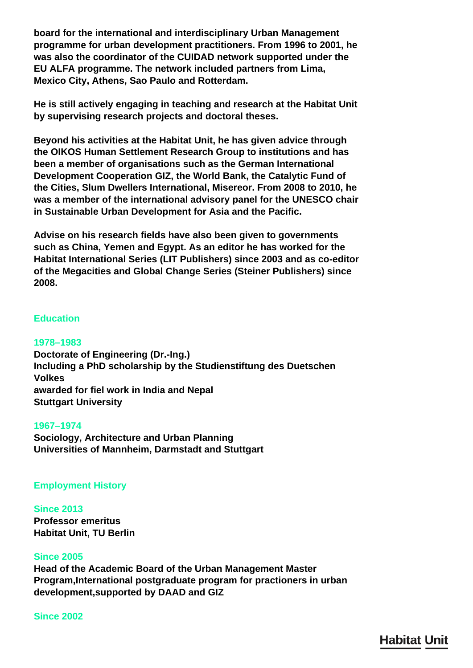**board for the international and interdisciplinary Urban Management programme for urban development practitioners. From 1996 to 2001, he was also the coordinator of the CUIDAD network supported under the EU ALFA programme. The network included partners from Lima, Mexico City, Athens, Sao Paulo and Rotterdam.**

**He is still actively engaging in teaching and research at the Habitat Unit by supervising research projects and doctoral theses.**

**Beyond his activities at the Habitat Unit, he has given advice through the OIKOS Human Settlement Research Group to institutions and has been a member of organisations such as the German International Development Cooperation GIZ, the World Bank, the Catalytic Fund of the Cities, Slum Dwellers International, Misereor. From 2008 to 2010, he was a member of the international advisory panel for the UNESCO chair in Sustainable Urban Development for Asia and the Pacific.**

**Advise on his research fields have also been given to governments such as China, Yemen and Egypt. As an editor he has worked for the Habitat International Series (LIT Publishers) since 2003 and as co-editor of the Megacities and Global Change Series (Steiner Publishers) since 2008.**

# **Education**

#### **1978–1983**

**Doctorate of Engineering (Dr.-Ing.) Including a PhD scholarship by the Studienstiftung des Duetschen Volkes awarded for fiel work in India and Nepal Stuttgart University**

#### **1967–1974**

**Sociology, Architecture and Urban Planning Universities of Mannheim, Darmstadt and Stuttgart**

## **Employment History**

**Since 2013 Professor emeritus Habitat Unit, TU Berlin**

#### **Since 2005**

**Head of the Academic Board of the Urban Management Master Program,International postgraduate program for practioners in urban development,supported by DAAD and GIZ**

#### **Since 2002**

**Habitat Unit**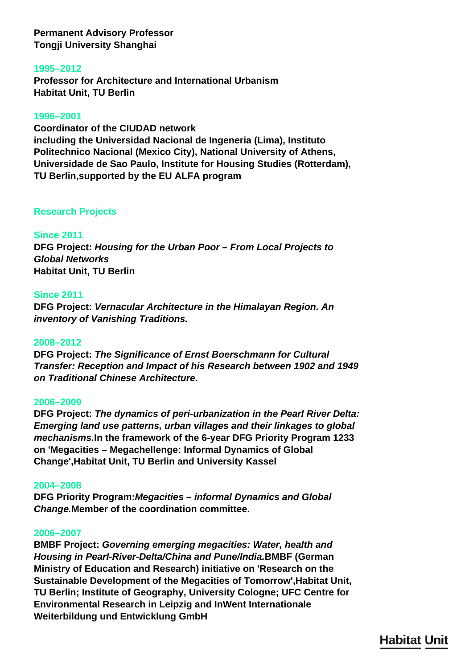**Permanent Advisory Professor Tongji University Shanghai**

## **1995–2012**

**Professor for Architecture and International Urbanism Habitat Unit, TU Berlin**

## **1996–2001**

**Coordinator of the CIUDAD network including the Universidad Nacional de Ingeneria (Lima), Instituto Politechnico Nacional (Mexico City), National University of Athens, Universidade de Sao Paulo, Institute for Housing Studies (Rotterdam), TU Berlin,supported by the EU ALFA program**

# **Research Projects**

# **Since 2011**

**DFG Project:** *Housing for the Urban Poor – From Local Projects to Global Networks* **Habitat Unit, TU Berlin**

## **Since 2011**

**DFG Project:** *Vernacular Architecture in the Himalayan Region. An inventory of Vanishing Traditions.*

## **2008–2012**

**DFG Project:** *The Significance of Ernst Boerschmann for Cultural Transfer: Reception and Impact of his Research between 1902 and 1949 on Traditional Chinese Architecture.*

## **2006–2009**

**DFG Project:** *The dynamics of peri-urbanization in the Pearl River Delta: Emerging land use patterns, urban villages and their linkages to global mechanisms.***In the framework of the 6-year DFG Priority Program 1233 on 'Megacities – Megachellenge: Informal Dynamics of Global Change',Habitat Unit, TU Berlin and University Kassel**

## **2004–2008**

**DFG Priority Program:***Megacities – informal Dynamics and Global Change.***Member of the coordination committee.**

## **2006–2007**

**BMBF Project:** *Governing emerging megacities: Water, health and Housing in Pearl-River-Delta/China and Pune/India.***BMBF (German Ministry of Education and Research) initiative on 'Research on the Sustainable Development of the Megacities of Tomorrow',Habitat Unit, TU Berlin; Institute of Geography, University Cologne; UFC Centre for Environmental Research in Leipzig and InWent Internationale Weiterbildung und Entwicklung GmbH**

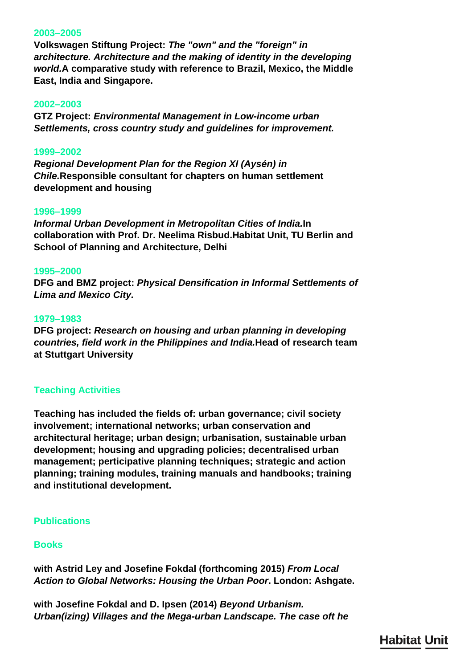## **2003–2005**

**Volkswagen Stiftung Project:** *The "own" and the "foreign" in architecture. Architecture and the making of identity in the developing world.***A comparative study with reference to Brazil, Mexico, the Middle East, India and Singapore.**

#### **2002–2003**

**GTZ Project:** *Environmental Management in Low-income urban Settlements, cross country study and guidelines for improvement.*

#### **1999–2002**

*Regional Development Plan for the Region XI (Aysén) in Chile.***Responsible consultant for chapters on human settlement development and housing**

#### **1996–1999**

*Informal Urban Development in Metropolitan Cities of India.***In collaboration with Prof. Dr. Neelima Risbud.Habitat Unit, TU Berlin and School of Planning and Architecture, Delhi**

#### **1995–2000**

**DFG and BMZ project:** *Physical Densification in Informal Settlements of Lima and Mexico City.*

#### **1979–1983**

**DFG project:** *Research on housing and urban planning in developing countries, field work in the Philippines and India.***Head of research team at Stuttgart University**

## **Teaching Activities**

**Teaching has included the fields of: urban governance; civil society involvement; international networks; urban conservation and architectural heritage; urban design; urbanisation, sustainable urban development; housing and upgrading policies; decentralised urban management; perticipative planning techniques; strategic and action planning; training modules, training manuals and handbooks; training and institutional development.**

## **Publications**

## **Books**

**with Astrid Ley and Josefine Fokdal (forthcoming 2015)** *From Local Action to Global Networks: Housing the Urban Poor***. London: Ashgate.**

**with Josefine Fokdal and D. Ipsen (2014)** *Beyond Urbanism. Urban(izing) Villages and the Mega-urban Landscape. The case oft he*

**Habitat Unit**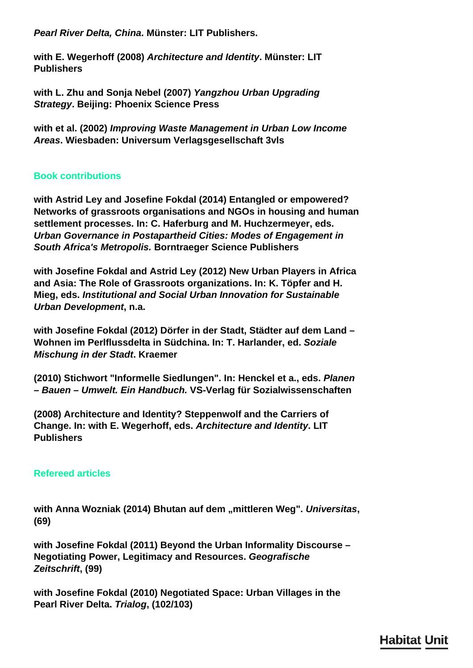*Pearl River Delta, China***. Münster: LIT Publishers.**

**with E. Wegerhoff (2008)** *Architecture and Identity***. Münster: LIT Publishers**

**with L. Zhu and Sonja Nebel (2007)** *Yangzhou Urban Upgrading Strategy***. Beijing: Phoenix Science Press**

**with et al. (2002)** *Improving Waste Management in Urban Low Income Areas***. Wiesbaden: Universum Verlagsgesellschaft 3vls**

# **Book contributions**

**with Astrid Ley and Josefine Fokdal (2014) Entangled or empowered? Networks of grassroots organisations and NGOs in housing and human settlement processes. In: C. Haferburg and M. Huchzermeyer, eds.**  *Urban Governance in Postapartheid Cities: Modes of Engagement in South Africa's Metropolis.* **Borntraeger Science Publishers**

**with Josefine Fokdal and Astrid Ley (2012) New Urban Players in Africa and Asia: The Role of Grassroots organizations. In: K. Töpfer and H. Mieg, eds.** *Institutional and Social Urban Innovation for Sustainable Urban Development***, n.a.**

**with Josefine Fokdal (2012) Dörfer in der Stadt, Städter auf dem Land – Wohnen im Perlflussdelta in Südchina. In: T. Harlander, ed.** *Soziale Mischung in der Stadt***. Kraemer**

**(2010) Stichwort "Informelle Siedlungen". In: Henckel et a., eds.** *Planen – Bauen – Umwelt. Ein Handbuch.* **VS-Verlag für Sozialwissenschaften**

**(2008) Architecture and Identity? Steppenwolf and the Carriers of Change. In: with E. Wegerhoff, eds.** *Architecture and Identity***. LIT Publishers**

# **Refereed articles**

with Anna Wozniak (2014) Bhutan auf dem "mittleren Weg". Universitas, **(69)**

**with Josefine Fokdal (2011) Beyond the Urban Informality Discourse – Negotiating Power, Legitimacy and Resources.** *Geografische Zeitschrift***, (99)**

**with Josefine Fokdal (2010) Negotiated Space: Urban Villages in the Pearl River Delta.** *Trialog***, (102/103)**